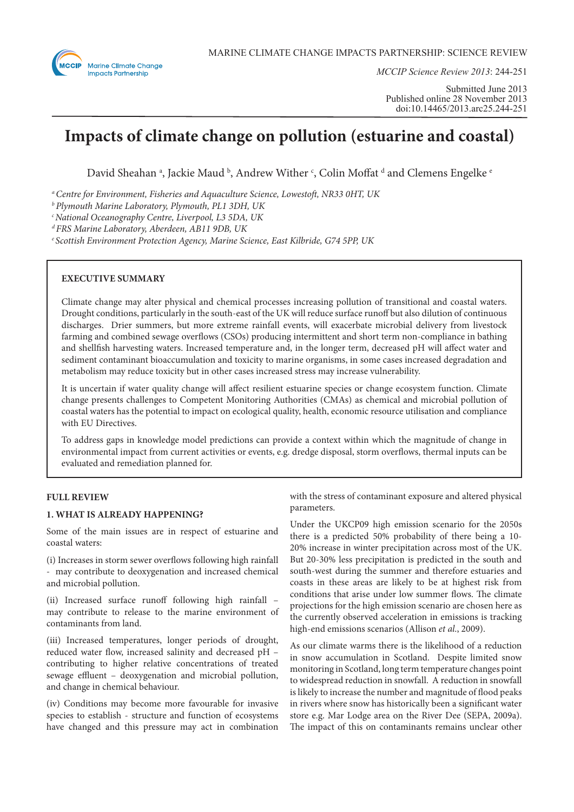

*MCCIP Science Review 2013*: 244-251

Submitted June 2013 Published online 28 November 2013 doi:10.14465/2013.arc25.244-251

# **Impacts of climate change on pollution (estuarine and coastal)**

David Sheahan ª, Jackie Maud ʰ, Andrew Wither ʿ, Colin Moffat d and Clemens Engelke ʿ

*a Centre for Environment, Fisheries and Aquaculture Science, Lowestoft, NR33 0HT, UK*

*b Plymouth Marine Laboratory, Plymouth, PL1 3DH, UK*

*c National Oceanography Centre, Liverpool, L3 5DA, UK*

*d FRS Marine Laboratory, Aberdeen, AB11 9DB, UK*

*e Scottish Environment Protection Agency, Marine Science, East Kilbride, G74 5PP, UK*

## **EXECUTIVE SUMMARY**

Climate change may alter physical and chemical processes increasing pollution of transitional and coastal waters. Drought conditions, particularly in the south-east of the UK will reduce surface runoff but also dilution of continuous discharges. Drier summers, but more extreme rainfall events, will exacerbate microbial delivery from livestock farming and combined sewage overflows (CSOs) producing intermittent and short term non-compliance in bathing and shellfish harvesting waters. Increased temperature and, in the longer term, decreased pH will affect water and sediment contaminant bioaccumulation and toxicity to marine organisms, in some cases increased degradation and metabolism may reduce toxicity but in other cases increased stress may increase vulnerability.

It is uncertain if water quality change will affect resilient estuarine species or change ecosystem function. Climate change presents challenges to Competent Monitoring Authorities (CMAs) as chemical and microbial pollution of coastal waters has the potential to impact on ecological quality, health, economic resource utilisation and compliance with EU Directives.

To address gaps in knowledge model predictions can provide a context within which the magnitude of change in environmental impact from current activities or events, e.g. dredge disposal, storm overflows, thermal inputs can be evaluated and remediation planned for.

## **FULL REVIEW**

## **1. WHAT IS ALREADY HAPPENING?**

Some of the main issues are in respect of estuarine and coastal waters:

(i) Increases in storm sewer overflows following high rainfall - may contribute to deoxygenation and increased chemical and microbial pollution.

(ii) Increased surface runoff following high rainfall – may contribute to release to the marine environment of contaminants from land.

(iii) Increased temperatures, longer periods of drought, reduced water flow, increased salinity and decreased pH – contributing to higher relative concentrations of treated sewage effluent – deoxygenation and microbial pollution, and change in chemical behaviour.

(iv) Conditions may become more favourable for invasive species to establish - structure and function of ecosystems have changed and this pressure may act in combination with the stress of contaminant exposure and altered physical parameters.

Under the UKCP09 high emission scenario for the 2050s there is a predicted 50% probability of there being a 10- 20% increase in winter precipitation across most of the UK. But 20-30% less precipitation is predicted in the south and south-west during the summer and therefore estuaries and coasts in these areas are likely to be at highest risk from conditions that arise under low summer flows. The climate projections for the high emission scenario are chosen here as the currently observed acceleration in emissions is tracking high-end emissions scenarios (Allison *et al*., 2009).

As our climate warms there is the likelihood of a reduction in snow accumulation in Scotland. Despite limited snow monitoring in Scotland, long term temperature changes point to widespread reduction in snowfall. A reduction in snowfall is likely to increase the number and magnitude of flood peaks in rivers where snow has historically been a significant water store e.g. Mar Lodge area on the River Dee (SEPA, 2009a). The impact of this on contaminants remains unclear other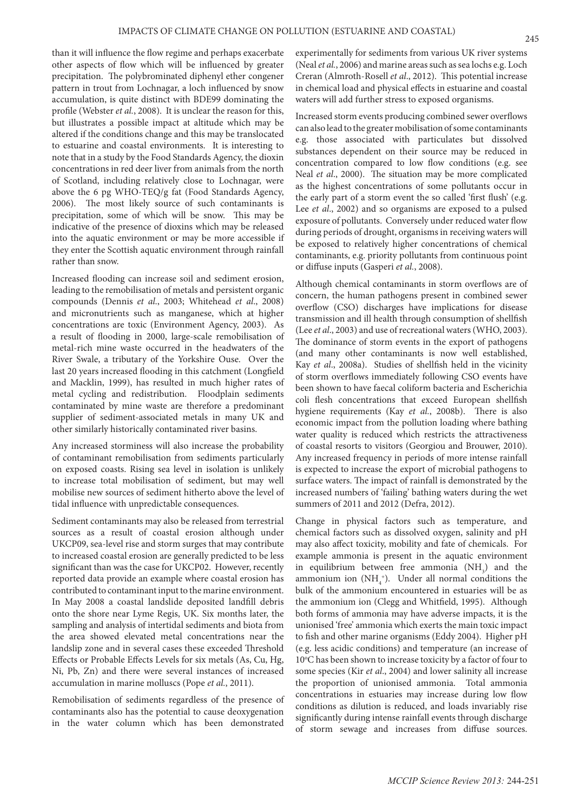than it will influence the flow regime and perhaps exacerbate other aspects of flow which will be influenced by greater precipitation. The polybrominated diphenyl ether congener pattern in trout from Lochnagar, a loch influenced by snow accumulation, is quite distinct with BDE99 dominating the profile (Webster *et al.*, 2008). It is unclear the reason for this, but illustrates a possible impact at altitude which may be altered if the conditions change and this may be translocated to estuarine and coastal environments. It is interesting to note that in a study by the Food Standards Agency, the dioxin concentrations in red deer liver from animals from the north of Scotland, including relatively close to Lochnagar, were above the 6 pg WHO-TEQ/g fat (Food Standards Agency, 2006). The most likely source of such contaminants is precipitation, some of which will be snow. This may be indicative of the presence of dioxins which may be released into the aquatic environment or may be more accessible if they enter the Scottish aquatic environment through rainfall rather than snow.

Increased flooding can increase soil and sediment erosion, leading to the remobilisation of metals and persistent organic compounds (Dennis *et al*., 2003; Whitehead *et al*., 2008) and micronutrients such as manganese, which at higher concentrations are toxic (Environment Agency, 2003). As a result of flooding in 2000, large-scale remobilisation of metal-rich mine waste occurred in the headwaters of the River Swale, a tributary of the Yorkshire Ouse. Over the last 20 years increased flooding in this catchment (Longfield and Macklin, 1999), has resulted in much higher rates of metal cycling and redistribution. Floodplain sediments contaminated by mine waste are therefore a predominant supplier of sediment-associated metals in many UK and other similarly historically contaminated river basins.

Any increased storminess will also increase the probability of contaminant remobilisation from sediments particularly on exposed coasts. Rising sea level in isolation is unlikely to increase total mobilisation of sediment, but may well mobilise new sources of sediment hitherto above the level of tidal influence with unpredictable consequences.

Sediment contaminants may also be released from terrestrial sources as a result of coastal erosion although under UKCP09, sea-level rise and storm surges that may contribute to increased coastal erosion are generally predicted to be less significant than was the case for UKCP02. However, recently reported data provide an example where coastal erosion has contributed to contaminant input to the marine environment. In May 2008 a coastal landslide deposited landfill debris onto the shore near Lyme Regis, UK. Six months later, the sampling and analysis of intertidal sediments and biota from the area showed elevated metal concentrations near the landslip zone and in several cases these exceeded Threshold Effects or Probable Effects Levels for six metals (As, Cu, Hg, Ni, Pb, Zn) and there were several instances of increased accumulation in marine molluscs (Pope *et al.*, 2011).

Remobilisation of sediments regardless of the presence of contaminants also has the potential to cause deoxygenation in the water column which has been demonstrated

experimentally for sediments from various UK river systems (Neal *et al.*, 2006) and marine areas such as sea lochs e.g. Loch Creran (Almroth-Rosell *et al*., 2012). This potential increase in chemical load and physical effects in estuarine and coastal waters will add further stress to exposed organisms.

Increased storm events producing combined sewer overflows can also lead to the greater mobilisation of some contaminants e.g. those associated with particulates but dissolved substances dependent on their source may be reduced in concentration compared to low flow conditions (e.g. see Neal *et al*., 2000). The situation may be more complicated as the highest concentrations of some pollutants occur in the early part of a storm event the so called 'first flush' (e.g. Lee *et al*., 2002) and so organisms are exposed to a pulsed exposure of pollutants. Conversely under reduced water flow during periods of drought, organisms in receiving waters will be exposed to relatively higher concentrations of chemical contaminants, e.g. priority pollutants from continuous point or diffuse inputs (Gasperi *et al.*, 2008).

Although chemical contaminants in storm overflows are of concern, the human pathogens present in combined sewer overflow (CSO) discharges have implications for disease transmission and ill health through consumption of shellfish (Lee *et al*., 2003) and use of recreational waters (WHO, 2003). The dominance of storm events in the export of pathogens (and many other contaminants is now well established, Kay *et al*., 2008a). Studies of shellfish held in the vicinity of storm overflows immediately following CSO events have been shown to have faecal coliform bacteria and Escherichia coli flesh concentrations that exceed European shellfish hygiene requirements (Kay *et al.*, 2008b). There is also economic impact from the pollution loading where bathing water quality is reduced which restricts the attractiveness of coastal resorts to visitors (Georgiou and Brouwer, 2010). Any increased frequency in periods of more intense rainfall is expected to increase the export of microbial pathogens to surface waters. The impact of rainfall is demonstrated by the increased numbers of 'failing' bathing waters during the wet summers of 2011 and 2012 (Defra, 2012).

Change in physical factors such as temperature, and chemical factors such as dissolved oxygen, salinity and pH may also affect toxicity, mobility and fate of chemicals. For example ammonia is present in the aquatic environment in equilibrium between free ammonia  $(NH_3)$  and the ammonium ion  $(NH_4^+)$ . Under all normal conditions the bulk of the ammonium encountered in estuaries will be as the ammonium ion (Clegg and Whitfield, 1995). Although both forms of ammonia may have adverse impacts, it is the unionised 'free' ammonia which exerts the main toxic impact to fish and other marine organisms (Eddy 2004). Higher pH (e.g. less acidic conditions) and temperature (an increase of 10°C has been shown to increase toxicity by a factor of four to some species (Kir *et al*., 2004) and lower salinity all increase the proportion of unionised ammonia. Total ammonia concentrations in estuaries may increase during low flow conditions as dilution is reduced, and loads invariably rise significantly during intense rainfall events through discharge of storm sewage and increases from diffuse sources.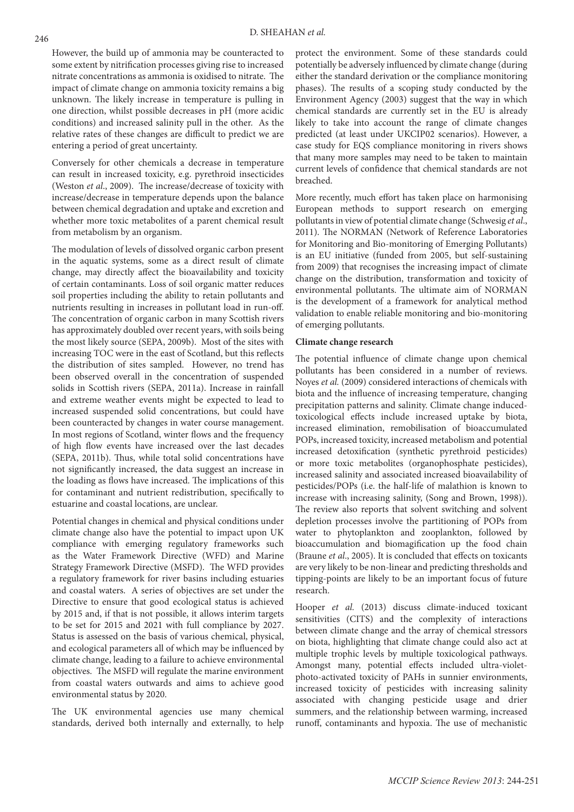However, the build up of ammonia may be counteracted to some extent by nitrification processes giving rise to increased nitrate concentrations as ammonia is oxidised to nitrate. The impact of climate change on ammonia toxicity remains a big unknown. The likely increase in temperature is pulling in one direction, whilst possible decreases in pH (more acidic conditions) and increased salinity pull in the other. As the relative rates of these changes are difficult to predict we are entering a period of great uncertainty.

Conversely for other chemicals a decrease in temperature can result in increased toxicity, e.g. pyrethroid insecticides (Weston *et al*., 2009). The increase/decrease of toxicity with increase/decrease in temperature depends upon the balance between chemical degradation and uptake and excretion and whether more toxic metabolites of a parent chemical result from metabolism by an organism.

The modulation of levels of dissolved organic carbon present in the aquatic systems, some as a direct result of climate change, may directly affect the bioavailability and toxicity of certain contaminants. Loss of soil organic matter reduces soil properties including the ability to retain pollutants and nutrients resulting in increases in pollutant load in run-off. The concentration of organic carbon in many Scottish rivers has approximately doubled over recent years, with soils being the most likely source (SEPA, 2009b). Most of the sites with increasing TOC were in the east of Scotland, but this reflects the distribution of sites sampled. However, no trend has been observed overall in the concentration of suspended solids in Scottish rivers (SEPA, 2011a). Increase in rainfall and extreme weather events might be expected to lead to increased suspended solid concentrations, but could have been counteracted by changes in water course management. In most regions of Scotland, winter flows and the frequency of high flow events have increased over the last decades (SEPA, 2011b). Thus, while total solid concentrations have not significantly increased, the data suggest an increase in the loading as flows have increased. The implications of this for contaminant and nutrient redistribution, specifically to estuarine and coastal locations, are unclear.

Potential changes in chemical and physical conditions under climate change also have the potential to impact upon UK compliance with emerging regulatory frameworks such as the Water Framework Directive (WFD) and Marine Strategy Framework Directive (MSFD). The WFD provides a regulatory framework for river basins including estuaries and coastal waters. A series of objectives are set under the Directive to ensure that good ecological status is achieved by 2015 and, if that is not possible, it allows interim targets to be set for 2015 and 2021 with full compliance by 2027. Status is assessed on the basis of various chemical, physical, and ecological parameters all of which may be influenced by climate change, leading to a failure to achieve environmental objectives. The MSFD will regulate the marine environment from coastal waters outwards and aims to achieve good environmental status by 2020.

The UK environmental agencies use many chemical standards, derived both internally and externally, to help

protect the environment. Some of these standards could potentially be adversely influenced by climate change (during either the standard derivation or the compliance monitoring phases). The results of a scoping study conducted by the Environment Agency (2003) suggest that the way in which chemical standards are currently set in the EU is already likely to take into account the range of climate changes predicted (at least under UKCIP02 scenarios). However, a case study for EQS compliance monitoring in rivers shows that many more samples may need to be taken to maintain current levels of confidence that chemical standards are not breached.

More recently, much effort has taken place on harmonising European methods to support research on emerging pollutants in view of potential climate change (Schwesig *et al*., 2011). The NORMAN (Network of Reference Laboratories for Monitoring and Bio-monitoring of Emerging Pollutants) is an EU initiative (funded from 2005, but self-sustaining from 2009) that recognises the increasing impact of climate change on the distribution, transformation and toxicity of environmental pollutants. The ultimate aim of NORMAN is the development of a framework for analytical method validation to enable reliable monitoring and bio-monitoring of emerging pollutants.

#### **Climate change research**

The potential influence of climate change upon chemical pollutants has been considered in a number of reviews. Noyes *et al.* (2009) considered interactions of chemicals with biota and the influence of increasing temperature, changing precipitation patterns and salinity. Climate change inducedtoxicological effects include increased uptake by biota, increased elimination, remobilisation of bioaccumulated POPs, increased toxicity, increased metabolism and potential increased detoxification (synthetic pyrethroid pesticides) or more toxic metabolites (organophosphate pesticides), increased salinity and associated increased bioavailability of pesticides/POPs (i.e. the half-life of malathion is known to increase with increasing salinity, (Song and Brown, 1998)). The review also reports that solvent switching and solvent depletion processes involve the partitioning of POPs from water to phytoplankton and zooplankton, followed by bioaccumulation and biomagification up the food chain (Braune *et al*., 2005). It is concluded that effects on toxicants are very likely to be non-linear and predicting thresholds and tipping-points are likely to be an important focus of future research.

Hooper *et al.* (2013) discuss climate-induced toxicant sensitivities (CITS) and the complexity of interactions between climate change and the array of chemical stressors on biota, highlighting that climate change could also act at multiple trophic levels by multiple toxicological pathways. Amongst many, potential effects included ultra-violetphoto-activated toxicity of PAHs in sunnier environments, increased toxicity of pesticides with increasing salinity associated with changing pesticide usage and drier summers, and the relationship between warming, increased runoff, contaminants and hypoxia. The use of mechanistic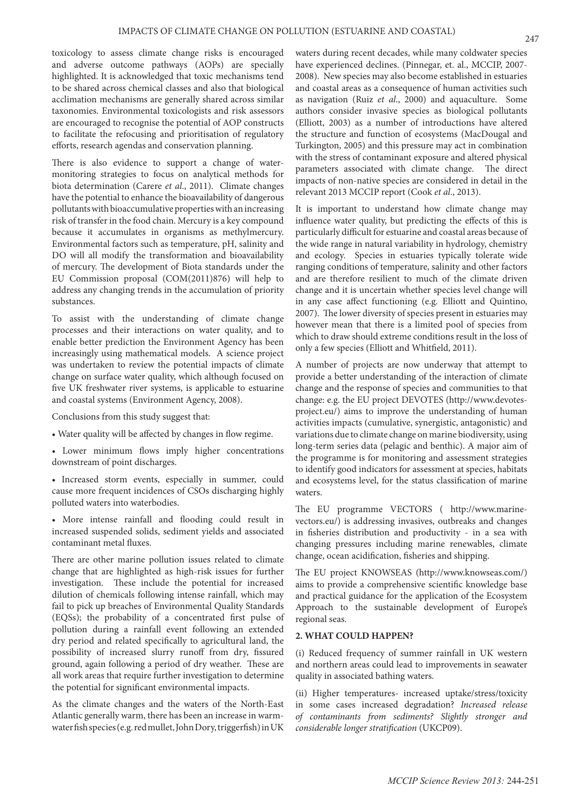toxicology to assess climate change risks is encouraged and adverse outcome pathways (AOPs) are specially highlighted. It is acknowledged that toxic mechanisms tend to be shared across chemical classes and also that biological acclimation mechanisms are generally shared across similar taxonomies. Environmental toxicologists and risk assessors are encouraged to recognise the potential of AOP constructs to facilitate the refocusing and prioritisation of regulatory efforts, research agendas and conservation planning.

There is also evidence to support a change of watermonitoring strategies to focus on analytical methods for biota determination (Carere *et al*., 2011). Climate changes have the potential to enhance the bioavailability of dangerous pollutants with bioaccumulative properties with an increasing risk of transfer in the food chain. Mercury is a key compound because it accumulates in organisms as methylmercury. Environmental factors such as temperature, pH, salinity and DO will all modify the transformation and bioavailability of mercury. The development of Biota standards under the EU Commission proposal (COM(2011)876) will help to address any changing trends in the accumulation of priority substances.

To assist with the understanding of climate change processes and their interactions on water quality, and to enable better prediction the Environment Agency has been increasingly using mathematical models. A science project was undertaken to review the potential impacts of climate change on surface water quality, which although focused on five UK freshwater river systems, is applicable to estuarine and coastal systems (Environment Agency, 2008).

Conclusions from this study suggest that:

- Water quality will be affected by changes in flow regime.
- Lower minimum flows imply higher concentrations downstream of point discharges.
- Increased storm events, especially in summer, could cause more frequent incidences of CSOs discharging highly polluted waters into waterbodies.
- More intense rainfall and flooding could result in increased suspended solids, sediment yields and associated contaminant metal fluxes.

There are other marine pollution issues related to climate change that are highlighted as high-risk issues for further investigation. These include the potential for increased dilution of chemicals following intense rainfall, which may fail to pick up breaches of Environmental Quality Standards (EQSs); the probability of a concentrated first pulse of pollution during a rainfall event following an extended dry period and related specifically to agricultural land, the possibility of increased slurry runoff from dry, fissured ground, again following a period of dry weather. These are all work areas that require further investigation to determine the potential for significant environmental impacts.

As the climate changes and the waters of the North-East Atlantic generally warm, there has been an increase in warmwater fish species (e.g. red mullet, John Dory, triggerfish) in UK

waters during recent decades, while many coldwater species have experienced declines. (Pinnegar, et. al., MCCIP, 2007- 2008). New species may also become established in estuaries and coastal areas as a consequence of human activities such as navigation (Ruiz *et al*., 2000) and aquaculture. Some authors consider invasive species as biological pollutants (Elliott, 2003) as a number of introductions have altered the structure and function of ecosystems (MacDougal and Turkington, 2005) and this pressure may act in combination with the stress of contaminant exposure and altered physical parameters associated with climate change. The direct impacts of non-native species are considered in detail in the relevant 2013 MCCIP report (Cook *et al*., 2013).

It is important to understand how climate change may influence water quality, but predicting the effects of this is particularly difficult for estuarine and coastal areas because of the wide range in natural variability in hydrology, chemistry and ecology. Species in estuaries typically tolerate wide ranging conditions of temperature, salinity and other factors and are therefore resilient to much of the climate driven change and it is uncertain whether species level change will in any case affect functioning (e.g. Elliott and Quintino, 2007). The lower diversity of species present in estuaries may however mean that there is a limited pool of species from which to draw should extreme conditions result in the loss of only a few species (Elliott and Whitfield, 2011).

A number of projects are now underway that attempt to provide a better understanding of the interaction of climate change and the response of species and communities to that change: e.g. the EU project DEVOTES (http://www.devotesproject.eu/) aims to improve the understanding of human activities impacts (cumulative, synergistic, antagonistic) and variations due to climate change on marine biodiversity, using long-term series data (pelagic and benthic). A major aim of the programme is for monitoring and assessment strategies to identify good indicators for assessment at species, habitats and ecosystems level, for the status classification of marine waters.

The EU programme VECTORS ( http://www.marinevectors.eu/) is addressing invasives, outbreaks and changes in fisheries distribution and productivity - in a sea with changing pressures including marine renewables, climate change, ocean acidification, fisheries and shipping.

The EU project KNOWSEAS (http://www.knowseas.com/) aims to provide a comprehensive scientific knowledge base and practical guidance for the application of the Ecosystem Approach to the sustainable development of Europe's regional seas.

#### **2. WHAT COULD HAPPEN?**

(i) Reduced frequency of summer rainfall in UK western and northern areas could lead to improvements in seawater quality in associated bathing waters.

(ii) Higher temperatures- increased uptake/stress/toxicity in some cases increased degradation? *Increased release of contaminants from sediments? Slightly stronger and considerable longer stratification* (UKCP09).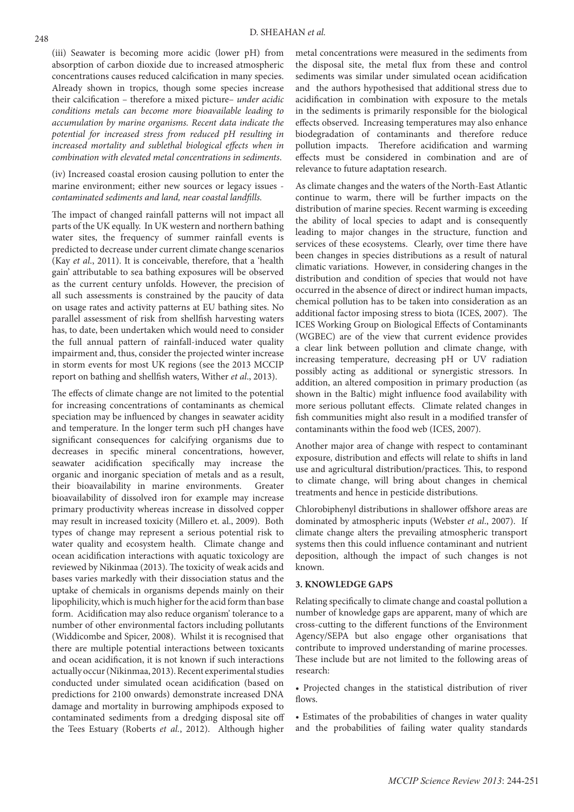(iii) Seawater is becoming more acidic (lower pH) from absorption of carbon dioxide due to increased atmospheric concentrations causes reduced calcification in many species. Already shown in tropics, though some species increase their calcification – therefore a mixed picture– *under acidic conditions metals can become more bioavailable leading to accumulation by marine organisms. Recent data indicate the potential for increased stress from reduced pH resulting in increased mortality and sublethal biological effects when in combination with elevated metal concentrations in sediments*.

(iv) Increased coastal erosion causing pollution to enter the marine environment; either new sources or legacy issues *contaminated sediments and land, near coastal landfills.*

The impact of changed rainfall patterns will not impact all parts of the UK equally. In UK western and northern bathing water sites, the frequency of summer rainfall events is predicted to decrease under current climate change scenarios (Kay *et al*., 2011). It is conceivable, therefore, that a 'health gain' attributable to sea bathing exposures will be observed as the current century unfolds. However, the precision of all such assessments is constrained by the paucity of data on usage rates and activity patterns at EU bathing sites. No parallel assessment of risk from shellfish harvesting waters has, to date, been undertaken which would need to consider the full annual pattern of rainfall-induced water quality impairment and, thus, consider the projected winter increase in storm events for most UK regions (see the 2013 MCCIP report on bathing and shellfish waters, Wither *et al*., 2013).

The effects of climate change are not limited to the potential for increasing concentrations of contaminants as chemical speciation may be influenced by changes in seawater acidity and temperature. In the longer term such pH changes have significant consequences for calcifying organisms due to decreases in specific mineral concentrations, however, seawater acidification specifically may increase the organic and inorganic speciation of metals and as a result, their bioavailability in marine environments. Greater bioavailability of dissolved iron for example may increase primary productivity whereas increase in dissolved copper may result in increased toxicity (Millero et. al., 2009). Both types of change may represent a serious potential risk to water quality and ecosystem health. Climate change and ocean acidification interactions with aquatic toxicology are reviewed by Nikinmaa (2013). The toxicity of weak acids and bases varies markedly with their dissociation status and the uptake of chemicals in organisms depends mainly on their lipophilicity, which is much higher for the acid form than base form. Acidification may also reduce organism' tolerance to a number of other environmental factors including pollutants (Widdicombe and Spicer, 2008). Whilst it is recognised that there are multiple potential interactions between toxicants and ocean acidification, it is not known if such interactions actually occur (Nikinmaa, 2013). Recent experimental studies conducted under simulated ocean acidification (based on predictions for 2100 onwards) demonstrate increased DNA damage and mortality in burrowing amphipods exposed to contaminated sediments from a dredging disposal site off the Tees Estuary (Roberts *et al.*, 2012). Although higher

metal concentrations were measured in the sediments from the disposal site, the metal flux from these and control sediments was similar under simulated ocean acidification and the authors hypothesised that additional stress due to acidification in combination with exposure to the metals in the sediments is primarily responsible for the biological effects observed. Increasing temperatures may also enhance biodegradation of contaminants and therefore reduce pollution impacts. Therefore acidification and warming effects must be considered in combination and are of relevance to future adaptation research.

As climate changes and the waters of the North-East Atlantic continue to warm, there will be further impacts on the distribution of marine species. Recent warming is exceeding the ability of local species to adapt and is consequently leading to major changes in the structure, function and services of these ecosystems. Clearly, over time there have been changes in species distributions as a result of natural climatic variations. However, in considering changes in the distribution and condition of species that would not have occurred in the absence of direct or indirect human impacts, chemical pollution has to be taken into consideration as an additional factor imposing stress to biota (ICES, 2007). The ICES Working Group on Biological Effects of Contaminants (WGBEC) are of the view that current evidence provides a clear link between pollution and climate change, with increasing temperature, decreasing pH or UV radiation possibly acting as additional or synergistic stressors. In addition, an altered composition in primary production (as shown in the Baltic) might influence food availability with more serious pollutant effects. Climate related changes in fish communities might also result in a modified transfer of contaminants within the food web (ICES, 2007).

Another major area of change with respect to contaminant exposure, distribution and effects will relate to shifts in land use and agricultural distribution/practices. This, to respond to climate change, will bring about changes in chemical treatments and hence in pesticide distributions.

Chlorobiphenyl distributions in shallower offshore areas are dominated by atmospheric inputs (Webster *et al*., 2007). If climate change alters the prevailing atmospheric transport systems then this could influence contaminant and nutrient deposition, although the impact of such changes is not known.

## **3. KNOWLEDGE GAPS**

Relating specifically to climate change and coastal pollution a number of knowledge gaps are apparent, many of which are cross-cutting to the different functions of the Environment Agency/SEPA but also engage other organisations that contribute to improved understanding of marine processes. These include but are not limited to the following areas of research:

• Projected changes in the statistical distribution of river flows.

• Estimates of the probabilities of changes in water quality and the probabilities of failing water quality standards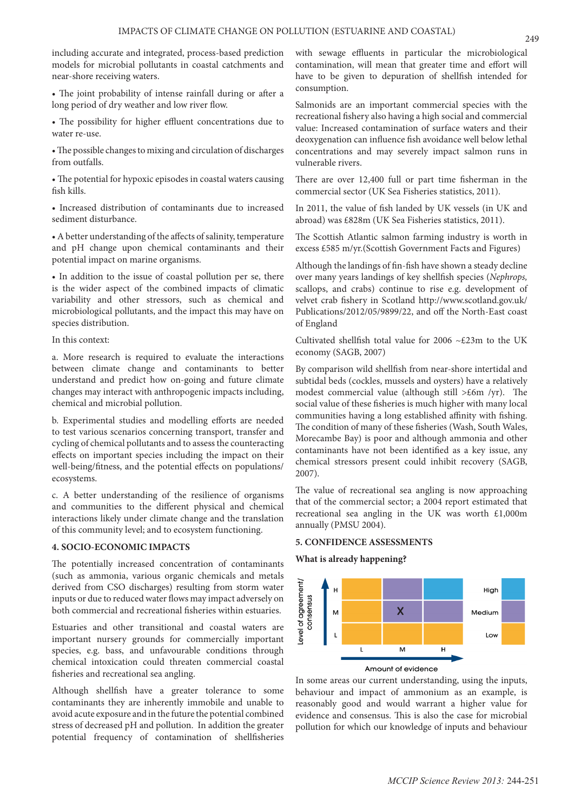including accurate and integrated, process-based prediction models for microbial pollutants in coastal catchments and near-shore receiving waters.

• The joint probability of intense rainfall during or after a long period of dry weather and low river flow.

• The possibility for higher effluent concentrations due to water re-use.

• The possible changes to mixing and circulation of discharges from outfalls.

• The potential for hypoxic episodes in coastal waters causing fish kills.

• Increased distribution of contaminants due to increased sediment disturbance.

• A better understanding of the affects of salinity, temperature and pH change upon chemical contaminants and their potential impact on marine organisms.

• In addition to the issue of coastal pollution per se, there is the wider aspect of the combined impacts of climatic variability and other stressors, such as chemical and microbiological pollutants, and the impact this may have on species distribution.

### In this context:

a. More research is required to evaluate the interactions between climate change and contaminants to better understand and predict how on-going and future climate changes may interact with anthropogenic impacts including, chemical and microbial pollution.

b. Experimental studies and modelling efforts are needed to test various scenarios concerning transport, transfer and cycling of chemical pollutants and to assess the counteracting effects on important species including the impact on their well-being/fitness, and the potential effects on populations/ ecosystems.

c. A better understanding of the resilience of organisms and communities to the different physical and chemical interactions likely under climate change and the translation of this community level; and to ecosystem functioning.

# **4. SOCIO-ECONOMIC IMPACTS**

The potentially increased concentration of contaminants (such as ammonia, various organic chemicals and metals derived from CSO discharges) resulting from storm water inputs or due to reduced water flows may impact adversely on both commercial and recreational fisheries within estuaries.

Estuaries and other transitional and coastal waters are important nursery grounds for commercially important species, e.g. bass, and unfavourable conditions through chemical intoxication could threaten commercial coastal fisheries and recreational sea angling.

Although shellfish have a greater tolerance to some contaminants they are inherently immobile and unable to avoid acute exposure and in the future the potential combined stress of decreased pH and pollution. In addition the greater potential frequency of contamination of shellfisheries

with sewage effluents in particular the microbiological contamination, will mean that greater time and effort will have to be given to depuration of shellfish intended for consumption.

Salmonids are an important commercial species with the recreational fishery also having a high social and commercial value: Increased contamination of surface waters and their deoxygenation can influence fish avoidance well below lethal concentrations and may severely impact salmon runs in vulnerable rivers.

There are over 12,400 full or part time fisherman in the commercial sector (UK Sea Fisheries statistics, 2011).

In 2011, the value of fish landed by UK vessels (in UK and abroad) was £828m (UK Sea Fisheries statistics, 2011).

The Scottish Atlantic salmon farming industry is worth in excess £585 m/yr.(Scottish Government Facts and Figures)

Although the landings of fin-fish have shown a steady decline over many years landings of key shellfish species (*Nephrops,* scallops, and crabs) continue to rise e.g. development of velvet crab fishery in Scotland http://www.scotland.gov.uk/ Publications/2012/05/9899/22, and off the North-East coast of England

Cultivated shellfish total value for 2006 ~£23m to the UK economy (SAGB, 2007)

By comparison wild shellfish from near-shore intertidal and subtidal beds (cockles, mussels and oysters) have a relatively modest commercial value (although still  $\geq$ £6m /yr). The social value of these fisheries is much higher with many local communities having a long established affinity with fishing. The condition of many of these fisheries (Wash, South Wales, Morecambe Bay) is poor and although ammonia and other contaminants have not been identified as a key issue, any chemical stressors present could inhibit recovery (SAGB, 2007).

The value of recreational sea angling is now approaching that of the commercial sector; a 2004 report estimated that recreational sea angling in the UK was worth £1,000m annually (PMSU 2004).

## **5. CONFIDENCE ASSESSMENTS**

#### **What is already happening?**



Amount of evidence

In some areas our current understanding, using the inputs, behaviour and impact of ammonium as an example, is reasonably good and would warrant a higher value for evidence and consensus. This is also the case for microbial pollution for which our knowledge of inputs and behaviour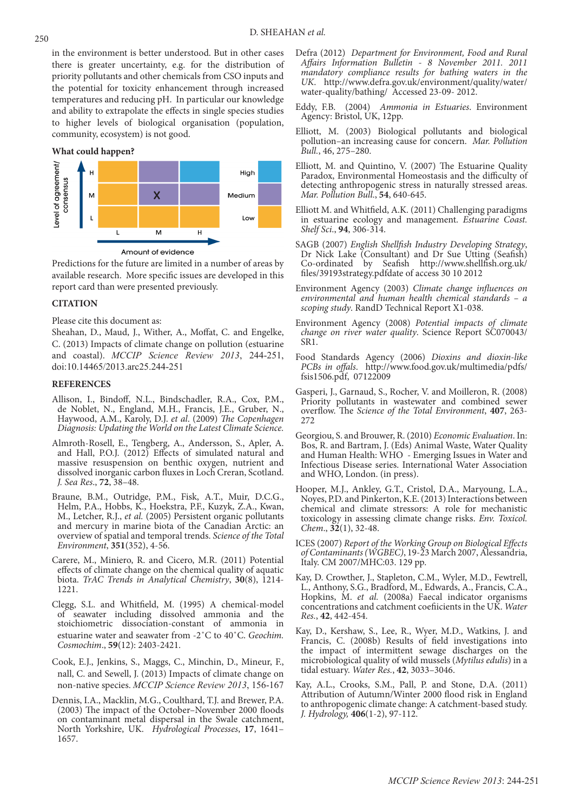in the environment is better understood. But in other cases there is greater uncertainty, e.g. for the distribution of priority pollutants and other chemicals from CSO inputs and the potential for toxicity enhancement through increased temperatures and reducing pH. In particular our knowledge and ability to extrapolate the effects in single species studies to higher levels of biological organisation (population, community, ecosystem) is not good.

**What could happen?** 



Predictions for the future are limited in a number of areas by available research. More specific issues are developed in this report card than were presented previously.

## **CITATION**

Please cite this document as:

Sheahan, D., Maud, J., Wither, A., Moffat, C. and Engelke, C. (2013) Impacts of climate change on pollution (estuarine and coastal). *MCCIP Science Review 2013*, 244-251, doi:10.14465/2013.arc25.244-251

#### **REFERENCES**

- Allison, I., Bindoff, N.L., Bindschadler, R.A., Cox, P.M., de Noblet, N., England, M.H., Francis, J.E., Gruber, N., Haywood, A.M., Karoly, D.J. *et al*. (2009) *The Copenhagen Diagnosis: Updating the World on the Latest Climate Science.*
- Almroth-Rosell, E., Tengberg, A., Andersson, S., Apler, A. and Hall, P.O.J. (2012) Effects of simulated natural and massive resuspension on benthic oxygen, nutrient and dissolved inorganic carbon fluxes in Loch Creran, Scotland. *J. Sea Res*., **72**, 38–48.
- Braune, B.M., Outridge, P.M., Fisk, A.T., Muir, D.C.G., Helm, P.A., Hobbs, K., Hoekstra, P.F., Kuzyk, Z.A., Kwan, M., Letcher, R.J., *et al.* (2005) Persistent organic pollutants and mercury in marine biota of the Canadian Arctic: an overview of spatial and temporal trends. *Science of the Total Environment*, **351**(352), 4-56.
- Carere, M., Miniero, R. and Cicero, M.R. (2011) Potential effects of climate change on the chemical quality of aquatic biota. *TrAC Trends in Analytical Chemistry*, **30**(8), 1214- 1221.
- Clegg, S.L. and Whitfield, M. (1995) A chemical-model of seawater including dissolved ammonia and the stoichiometric dissociation-constant of ammonia in estuarine water and seawater from -2˚C to 40˚C. *Geochim. Cosmochim*., **59**(12): 2403-2421.
- Cook, E.J., Jenkins, S., Maggs, C., Minchin, D., Mineur, F., nall, C. and Sewell, J. (2013) Impacts of climate change on non-native species. *MCCIP Science Review 2013*, 156-167
- Dennis, I.A., Macklin, M.G., Coulthard, T.J. and Brewer, P.A. (2003) The impact of the October–November 2000 floods on contaminant metal dispersal in the Swale catchment, North Yorkshire, UK. *Hydrological Processes*, **17**, 1641– 1657.
- Defra (2012) *Department for Environment, Food and Rural Affairs Information Bulletin ‐ 8 November 2011. 2011 mandatory compliance results for bathing waters in the UK*. http://www.defra.gov.uk/environment/quality/water/ water-quality/bathing/ Accessed 23-09- 2012.
- Eddy, F.B. (2004) *Ammonia in Estuaries*. Environment Agency: Bristol, UK, 12pp.
- Elliott, M. (2003) Biological pollutants and biological pollution–an increasing cause for concern. *Mar. Pollution Bull.*, 46, 275–280.
- Elliott, M. and Quintino, V. (2007) The Estuarine Quality Paradox, Environmental Homeostasis and the difficulty of detecting anthropogenic stress in naturally stressed areas. *Mar. Pollution Bull*., **54**, 640-645.
- Elliott M. and Whitfield, A.K. (2011) Challenging paradigms in estuarine ecology and management. *Estuarine Coast. Shelf Sci*., **94**, 306-314.
- SAGB (2007) *English Shellfish Industry Developing Strategy*, Dr Nick Lake (Consultant) and Dr Sue Utting (Seafish) Co-ordinated by Seafish http://www.shellfish.org.uk/ files/39193strategy.pdfdate of access 30 10 2012
- Environment Agency (2003) *Climate change influences on environmental and human health chemical standards – a scoping study*. RandD Technical Report X1-038.
- Environment Agency (2008) *Potential impacts of climate change on river water quality*. Science Report SC070043/ SR1.
- Food Standards Agency (2006) *Dioxins and dioxin-like PCBs in offals*. http://www.food.gov.uk/multimedia/pdfs/ fsis1506.pdf, 07122009
- Gasperi, J., Garnaud, S., Rocher, V. and Moilleron, R. (2008) Priority pollutants in wastewater and combined sewer overflow. The *Science of the Total Environment*, **407**, 263- 272
- Georgiou, S. and Brouwer, R. (2010) *Economic Evaluation*. In: Bos, R. and Bartram, J. (Eds) Animal Waste, Water Quality and Human Health: WHO - Emerging Issues in Water and Infectious Disease series. International Water Association and WHO, London. (in press).
- Hooper, M.J., Ankley, G.T., Cristol, D.A., Maryoung, L.A., Noyes, P.D. and Pinkerton, K.E. (2013) Interactions between chemical and climate stressors: A role for mechanistic toxicology in assessing climate change risks. *Env. Toxicol. Chem*., **32**(1), 32-48.
- ICES (2007) *Report of the Working Group on Biological Effects of Contaminants (WGBEC)*, 19-23 March 2007, Alessandria, Italy. CM 2007/MHC:03. 129 pp.
- Kay, D. Crowther, J., Stapleton, C.M., Wyler, M.D., Fewtrell, L., Anthony, S.G., Bradford, M., Edwards, A., Francis, C.A., Hopkins, M. *et al.* (2008a) Faecal indicator organisms concentrations and catchment coefiicients in the UK. *Water Res.*, **42**, 442-454.
- Kay, D., Kershaw, S., Lee, R., Wyer, M.D., Watkins, J. and Francis, C. (2008b) Results of field investigations into the impact of intermittent sewage discharges on the microbiological quality of wild mussels (*Mytilus edulis*) in a tidal estuary. *Water Res.*, **42**, 3033–3046.
- Kay, A.L., Crooks, S.M., Pall, P. and Stone, D.A. (2011) Attribution of Autumn/Winter 2000 flood risk in England to anthropogenic climate change: A catchment-based study. *J. Hydrology,* **406**(1-2), 97-112.